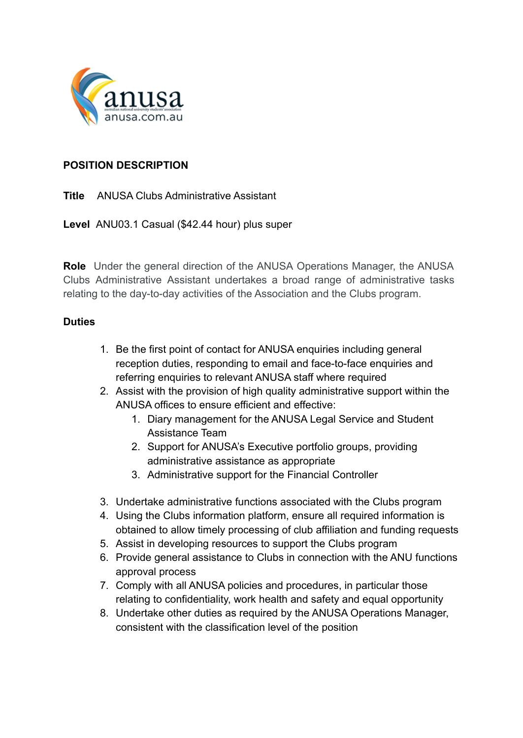

## **POSITION DESCRIPTION**

**Title** ANUSA Clubs Administrative Assistant

**Level** ANU03.1 Casual (\$42.44 hour) plus super

**Role** Under the general direction of the ANUSA Operations Manager, the ANUSA Clubs Administrative Assistant undertakes a broad range of administrative tasks relating to the day-to-day activities of the Association and the Clubs program.

## **Duties**

- 1. Be the first point of contact for ANUSA enquiries including general reception duties, responding to email and face-to-face enquiries and referring enquiries to relevant ANUSA staff where required
- 2. Assist with the provision of high quality administrative support within the ANUSA offices to ensure efficient and effective:
	- 1. Diary management for the ANUSA Legal Service and Student Assistance Team
	- 2. Support for ANUSA's Executive portfolio groups, providing administrative assistance as appropriate
	- 3. Administrative support for the Financial Controller
- 3. Undertake administrative functions associated with the Clubs program
- 4. Using the Clubs information platform, ensure all required information is obtained to allow timely processing of club affiliation and funding requests
- 5. Assist in developing resources to support the Clubs program
- 6. Provide general assistance to Clubs in connection with the ANU functions approval process
- 7. Comply with all ANUSA policies and procedures, in particular those relating to confidentiality, work health and safety and equal opportunity
- 8. Undertake other duties as required by the ANUSA Operations Manager, consistent with the classification level of the position